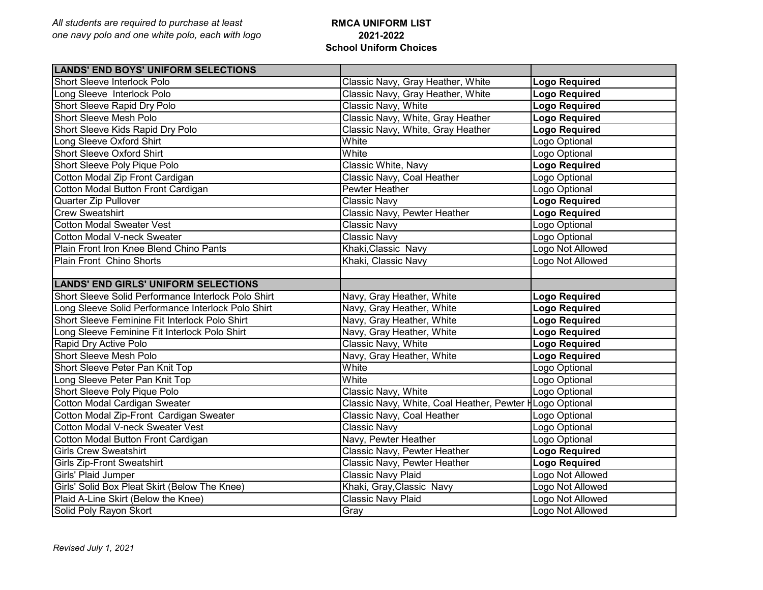## **RMCA UNIFORM LIST 2021-2022 School Uniform Choices**

| <b>LANDS' END BOYS' UNIFORM SELECTIONS</b>          |                                                          |                      |
|-----------------------------------------------------|----------------------------------------------------------|----------------------|
| Short Sleeve Interlock Polo                         | Classic Navy, Gray Heather, White                        | <b>Logo Required</b> |
| Long Sleeve Interlock Polo                          | Classic Navy, Gray Heather, White                        | <b>Logo Required</b> |
| Short Sleeve Rapid Dry Polo                         | Classic Navy, White                                      | <b>Logo Required</b> |
| Short Sleeve Mesh Polo                              | Classic Navy, White, Gray Heather                        | <b>Logo Required</b> |
| Short Sleeve Kids Rapid Dry Polo                    | Classic Navy, White, Gray Heather                        | <b>Logo Required</b> |
| Long Sleeve Oxford Shirt                            | White                                                    | Logo Optional        |
| Short Sleeve Oxford Shirt                           | White                                                    | Logo Optional        |
| Short Sleeve Poly Pique Polo                        | Classic White, Navy                                      | <b>Logo Required</b> |
| Cotton Modal Zip Front Cardigan                     | Classic Navy, Coal Heather                               | Logo Optional        |
| Cotton Modal Button Front Cardigan                  | Pewter Heather                                           | Logo Optional        |
| Quarter Zip Pullover                                | <b>Classic Navy</b>                                      | <b>Logo Required</b> |
| <b>Crew Sweatshirt</b>                              | Classic Navy, Pewter Heather                             | <b>Logo Required</b> |
| <b>Cotton Modal Sweater Vest</b>                    | <b>Classic Navy</b>                                      | Logo Optional        |
| Cotton Modal V-neck Sweater                         | <b>Classic Navy</b>                                      | Logo Optional        |
| Plain Front Iron Knee Blend Chino Pants             | Khaki, Classic Navy                                      | Logo Not Allowed     |
| Plain Front Chino Shorts                            | Khaki, Classic Navy                                      | Logo Not Allowed     |
|                                                     |                                                          |                      |
| <b>LANDS' END GIRLS' UNIFORM SELECTIONS</b>         |                                                          |                      |
| Short Sleeve Solid Performance Interlock Polo Shirt | Navy, Gray Heather, White                                | <b>Logo Required</b> |
| Long Sleeve Solid Performance Interlock Polo Shirt  | Navy, Gray Heather, White                                | <b>Logo Required</b> |
| Short Sleeve Feminine Fit Interlock Polo Shirt      | Navy, Gray Heather, White                                | <b>Logo Required</b> |
| Long Sleeve Feminine Fit Interlock Polo Shirt       | Navy, Gray Heather, White                                | <b>Logo Required</b> |
| Rapid Dry Active Polo                               | Classic Navy, White                                      | <b>Logo Required</b> |
| <b>Short Sleeve Mesh Polo</b>                       | Navy, Gray Heather, White                                | <b>Logo Required</b> |
| Short Sleeve Peter Pan Knit Top                     | White                                                    | Logo Optional        |
| Long Sleeve Peter Pan Knit Top                      | White                                                    | Logo Optional        |
| Short Sleeve Poly Pique Polo                        | Classic Navy, White                                      | Logo Optional        |
|                                                     | Classic Navy, White, Coal Heather, Pewter HLogo Optional |                      |
|                                                     | Classic Navy, Coal Heather                               | Logo Optional        |
| Cotton Modal V-neck Sweater Vest                    | <b>Classic Navy</b>                                      | Logo Optional        |
| Cotton Modal Button Front Cardigan                  | Navy, Pewter Heather                                     | Logo Optional        |
| <b>Girls Crew Sweatshirt</b>                        | Classic Navy, Pewter Heather                             | <b>Logo Required</b> |
| <b>Girls Zip-Front Sweatshirt</b>                   | Classic Navy, Pewter Heather                             | <b>Logo Required</b> |
| Girls' Plaid Jumper                                 | Classic Navy Plaid                                       | Logo Not Allowed     |
| Girls' Solid Box Pleat Skirt (Below The Knee)       | Khaki, Gray, Classic Navy                                | Logo Not Allowed     |
| Plaid A-Line Skirt (Below the Knee)                 | Classic Navy Plaid                                       | Logo Not Allowed     |
| Solid Poly Rayon Skort                              | Gray                                                     | Logo Not Allowed     |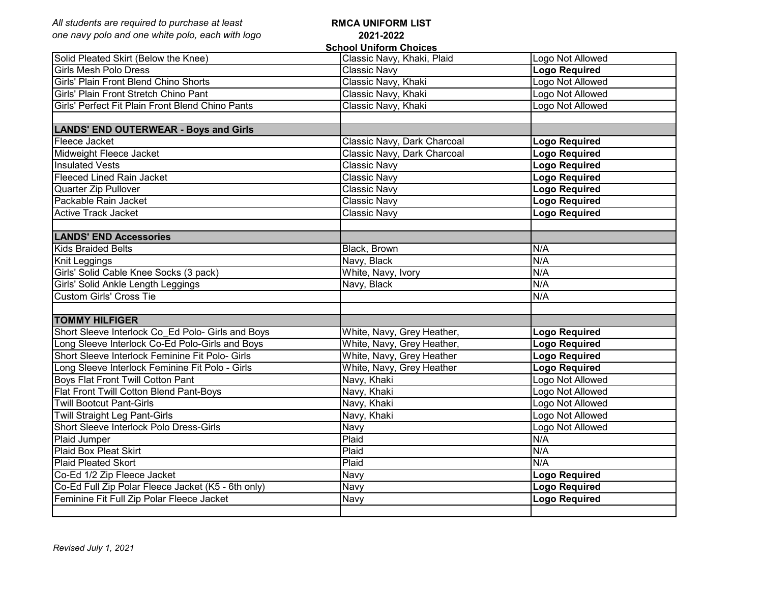| All students are required to purchase at least                                    | <b>RMCA UNIFORM LIST</b>      |                      |
|-----------------------------------------------------------------------------------|-------------------------------|----------------------|
| one navy polo and one white polo, each with logo                                  | 2021-2022                     |                      |
|                                                                                   | <b>School Uniform Choices</b> |                      |
| Solid Pleated Skirt (Below the Knee)                                              | Classic Navy, Khaki, Plaid    | Logo Not Allowed     |
| Girls Mesh Polo Dress                                                             | Classic Navy                  | <b>Logo Required</b> |
| Girls' Plain Front Blend Chino Shorts                                             | Classic Navy, Khaki           | Logo Not Allowed     |
| Girls' Plain Front Stretch Chino Pant                                             | Classic Navy, Khaki           | Logo Not Allowed     |
| Girls' Perfect Fit Plain Front Blend Chino Pants                                  | Classic Navy, Khaki           | Logo Not Allowed     |
| <b>LANDS' END OUTERWEAR - Boys and Girls</b>                                      |                               |                      |
| Fleece Jacket                                                                     | Classic Navy, Dark Charcoal   | Logo Required        |
| Midweight Fleece Jacket                                                           | Classic Navy, Dark Charcoal   | <b>Logo Required</b> |
| <b>Insulated Vests</b>                                                            | Classic Navy                  | <b>Logo Required</b> |
| <b>Fleeced Lined Rain Jacket</b>                                                  | Classic Navy                  | <b>Logo Required</b> |
| Quarter Zip Pullover                                                              | <b>Classic Navy</b>           | <b>Logo Required</b> |
| Packable Rain Jacket                                                              | <b>Classic Navy</b>           | <b>Logo Required</b> |
| Active Track Jacket                                                               | <b>Classic Navy</b>           | <b>Logo Required</b> |
| <b>LANDS' END Accessories</b>                                                     |                               |                      |
| <b>Kids Braided Belts</b>                                                         | <b>Black, Brown</b>           | N/A                  |
| Knit Leggings                                                                     | Navy, Black                   | N/A                  |
| Girls' Solid Cable Knee Socks (3 pack)                                            | White, Navy, Ivory            | N/A                  |
| Girls' Solid Ankle Length Leggings                                                | Navy, Black                   | N/A                  |
| Custom Girls' Cross Tie                                                           |                               | N/A                  |
| <b>TOMMY HILFIGER</b>                                                             |                               |                      |
| Short Sleeve Interlock Co Ed Polo- Girls and Boys                                 | White, Navy, Grey Heather,    | <b>Logo Required</b> |
| Long Sleeve Interlock Co-Ed Polo-Girls and Boys                                   | White, Navy, Grey Heather,    | <b>Logo Required</b> |
| Short Sleeve Interlock Feminine Fit Polo- Girls                                   | White, Navy, Grey Heather     | <b>Logo Required</b> |
| Long Sleeve Interlock Feminine Fit Polo - Girls                                   | White, Navy, Grey Heather     | <b>Logo Required</b> |
| <b>Boys Flat Front Twill Cotton Pant</b>                                          | Navy, Khaki                   | Logo Not Allowed     |
| Flat Front Twill Cotton Blend Pant-Boys                                           | Navy, Khaki                   | Logo Not Allowed     |
| <b>Twill Bootcut Pant-Girls</b>                                                   | Navy, Khaki                   | Logo Not Allowed     |
| <b>Twill Straight Leg Pant-Girls</b>                                              | Navy, Khaki                   | Logo Not Allowed     |
| Short Sleeve Interlock Polo Dress-Girls                                           | Navy                          | Logo Not Allowed     |
| Plaid Jumper                                                                      | Plaid                         | N/A                  |
| Plaid Box Pleat Skirt                                                             | $P$ aid                       | N/A                  |
| <b>Plaid Pleated Skort</b>                                                        | Plaid                         | N/A                  |
|                                                                                   | <b>Navy</b>                   | <b>Logo Required</b> |
| Co-Ed 1/2 Zip Fleece Jacket<br>Co-Ed Full Zip Polar Fleece Jacket (K5 - 6th only) | Navy                          | <b>Logo Required</b> |
| Feminine Fit Full Zip Polar Fleece Jacket                                         | Navy                          | <b>Logo Required</b> |
|                                                                                   |                               |                      |